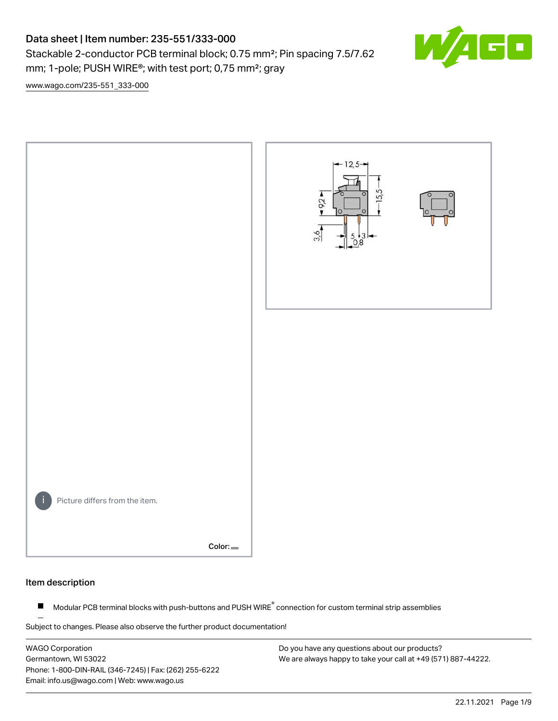# Data sheet | Item number: 235-551/333-000

Stackable 2-conductor PCB terminal block; 0.75 mm²; Pin spacing 7.5/7.62 mm; 1-pole; PUSH WIRE®; with test port; 0,75 mm²; gray



[www.wago.com/235-551\\_333-000](http://www.wago.com/235-551_333-000)



#### Item description

Modular PCB terminal blocks with push-buttons and PUSH WIRE<sup>®</sup> connection for custom terminal strip assemblies  $\blacksquare$ 

Subject to changes. Please also observe the further product documentation!

WAGO Corporation Germantown, WI 53022 Phone: 1-800-DIN-RAIL (346-7245) | Fax: (262) 255-6222 Email: info.us@wago.com | Web: www.wago.us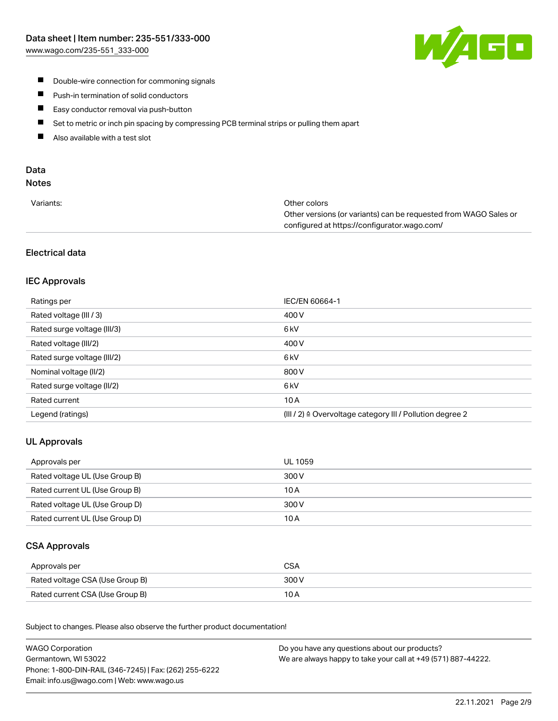

- **Double-wire connection for commoning signals**
- $\blacksquare$ Push-in termination of solid conductors
- Easy conductor removal via push-button  $\blacksquare$
- $\blacksquare$ Set to metric or inch pin spacing by compressing PCB terminal strips or pulling them apart
- $\blacksquare$ Also available with a test slot

# Data

# Notes

| Variants: | Other colors                                                     |
|-----------|------------------------------------------------------------------|
|           | Other versions (or variants) can be requested from WAGO Sales or |
|           | configured at https://configurator.wago.com/                     |

# Electrical data

# IEC Approvals

| Ratings per                 | IEC/EN 60664-1                                                       |
|-----------------------------|----------------------------------------------------------------------|
| Rated voltage (III / 3)     | 400 V                                                                |
| Rated surge voltage (III/3) | 6 <sub>kV</sub>                                                      |
| Rated voltage (III/2)       | 400 V                                                                |
| Rated surge voltage (III/2) | 6 <sub>kV</sub>                                                      |
| Nominal voltage (II/2)      | 800 V                                                                |
| Rated surge voltage (II/2)  | 6 <sub>kV</sub>                                                      |
| Rated current               | 10A                                                                  |
| Legend (ratings)            | (III / 2) $\triangleq$ Overvoltage category III / Pollution degree 2 |

# UL Approvals

| Approvals per                  | UL 1059 |
|--------------------------------|---------|
| Rated voltage UL (Use Group B) | 300 V   |
| Rated current UL (Use Group B) | 10 A    |
| Rated voltage UL (Use Group D) | 300 V   |
| Rated current UL (Use Group D) | 10 A    |

# CSA Approvals

| Approvals per                   |       |
|---------------------------------|-------|
| Rated voltage CSA (Use Group B) | 300 V |
| Rated current CSA (Use Group B) | 10 A  |

.<br>Subject to changes. Please also observe the further product documentation!

| <b>WAGO Corporation</b>                                | Do you have any questions about our products?                 |
|--------------------------------------------------------|---------------------------------------------------------------|
| Germantown, WI 53022                                   | We are always happy to take your call at +49 (571) 887-44222. |
| Phone: 1-800-DIN-RAIL (346-7245)   Fax: (262) 255-6222 |                                                               |
| Email: info.us@wago.com   Web: www.wago.us             |                                                               |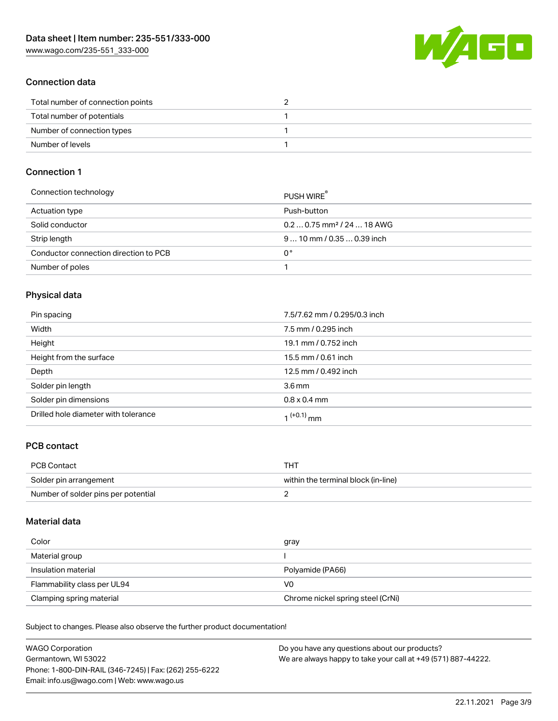

# Connection data

| Total number of connection points |  |
|-----------------------------------|--|
| Total number of potentials        |  |
| Number of connection types        |  |
| Number of levels                  |  |

# Connection 1

| Connection technology                 | PUSH WIRE                              |
|---------------------------------------|----------------------------------------|
| Actuation type                        | Push-button                            |
| Solid conductor                       | $0.20.75$ mm <sup>2</sup> / 24  18 AWG |
| Strip length                          | $910$ mm $/0.350.39$ inch              |
| Conductor connection direction to PCB | 0°                                     |
| Number of poles                       |                                        |

# Physical data

| Pin spacing                          | 7.5/7.62 mm / 0.295/0.3 inch |
|--------------------------------------|------------------------------|
| Width                                | 7.5 mm / 0.295 inch          |
| Height                               | 19.1 mm / 0.752 inch         |
| Height from the surface              | 15.5 mm / 0.61 inch          |
| Depth                                | 12.5 mm / 0.492 inch         |
| Solder pin length                    | $3.6 \,\mathrm{mm}$          |
| Solder pin dimensions                | $0.8 \times 0.4$ mm          |
| Drilled hole diameter with tolerance | 1 <sup>(+0.1)</sup> mm       |

# PCB contact

| <b>PCB Contact</b>                  | THT                                 |
|-------------------------------------|-------------------------------------|
| Solder pin arrangement              | within the terminal block (in-line) |
| Number of solder pins per potential |                                     |

### Material data

| Color                       | gray                              |
|-----------------------------|-----------------------------------|
| Material group              |                                   |
| Insulation material         | Polyamide (PA66)                  |
| Flammability class per UL94 | V0                                |
| Clamping spring material    | Chrome nickel spring steel (CrNi) |

Subject to changes. Please also observe the further product documentation!

| <b>WAGO Corporation</b>                                | Do you have any questions about our products?                 |
|--------------------------------------------------------|---------------------------------------------------------------|
| Germantown, WI 53022                                   | We are always happy to take your call at +49 (571) 887-44222. |
| Phone: 1-800-DIN-RAIL (346-7245)   Fax: (262) 255-6222 |                                                               |
| Email: info.us@wago.com   Web: www.wago.us             |                                                               |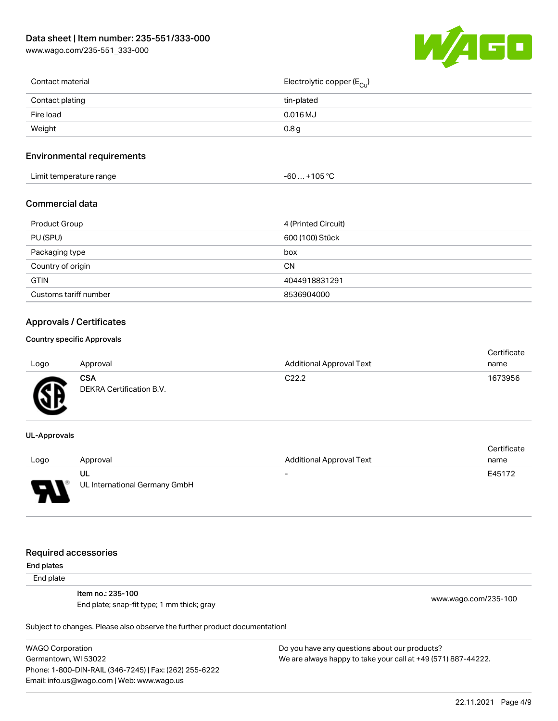[www.wago.com/235-551\\_333-000](http://www.wago.com/235-551_333-000)



| Contact material | Electrolytic copper (E <sub>Cu</sub> ) |
|------------------|----------------------------------------|
| Contact plating  | tin-plated                             |
| Fire load        | $0.016$ MJ                             |
| Weight           | 0.8 <sub>g</sub>                       |
|                  |                                        |

# Environmental requirements

| Limit temperature range | $. +105 °C$<br>-60 |
|-------------------------|--------------------|
|-------------------------|--------------------|

## Commercial data

| Product Group         | 4 (Printed Circuit) |
|-----------------------|---------------------|
| PU (SPU)              | 600 (100) Stück     |
| Packaging type        | box                 |
| Country of origin     | CΝ                  |
| <b>GTIN</b>           | 4044918831291       |
| Customs tariff number | 8536904000          |

# Approvals / Certificates

#### Country specific Approvals

| Logo   | Approval                               | <b>Additional Approval Text</b> | Certificate<br>name |
|--------|----------------------------------------|---------------------------------|---------------------|
| Œ<br>≈ | <b>CSA</b><br>DEKRA Certification B.V. | C <sub>22.2</sub>               | 1673956             |

#### UL-Approvals

|      |                               |                          | Certificate |
|------|-------------------------------|--------------------------|-------------|
| Logo | Approval                      | Additional Approval Text | name        |
|      | UL                            | $\overline{\phantom{a}}$ | E45172      |
| J    | UL International Germany GmbH |                          |             |

#### Required accessories

End plates

End plate

Item no.: 235-100 End plate; snap-fit type; 1 mm thick; gray [www.wago.com/235-100](http://www.wago.com/235-100)

Subject to changes. Please also observe the further product documentation!

WAGO Corporation Germantown, WI 53022 Phone: 1-800-DIN-RAIL (346-7245) | Fax: (262) 255-6222 Email: info.us@wago.com | Web: www.wago.us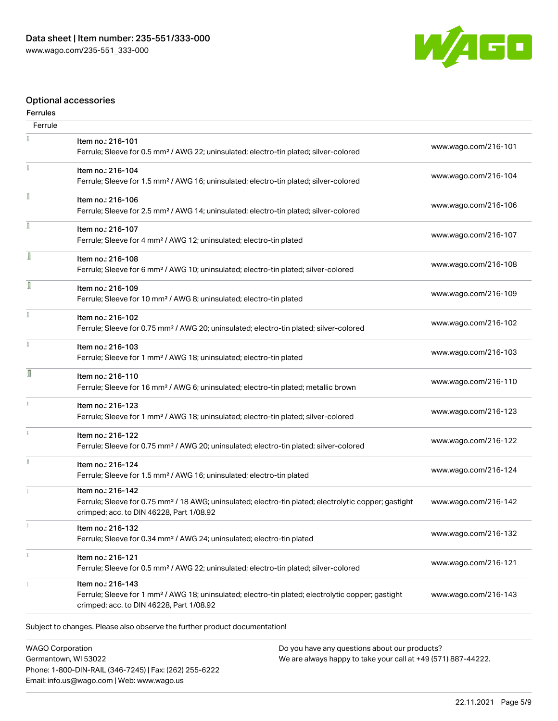

# Optional accessories

# Ferrules

| Ferrule       |                                                                                                                                                                                    |                      |
|---------------|------------------------------------------------------------------------------------------------------------------------------------------------------------------------------------|----------------------|
|               | Item no.: 216-101<br>Ferrule; Sleeve for 0.5 mm <sup>2</sup> / AWG 22; uninsulated; electro-tin plated; silver-colored                                                             | www.wago.com/216-101 |
| Ť.            | Item no.: 216-104<br>Ferrule; Sleeve for 1.5 mm <sup>2</sup> / AWG 16; uninsulated; electro-tin plated; silver-colored                                                             | www.wago.com/216-104 |
|               | Item no.: 216-106<br>Ferrule; Sleeve for 2.5 mm <sup>2</sup> / AWG 14; uninsulated; electro-tin plated; silver-colored                                                             | www.wago.com/216-106 |
|               | Item no.: 216-107<br>Ferrule; Sleeve for 4 mm <sup>2</sup> / AWG 12; uninsulated; electro-tin plated                                                                               | www.wago.com/216-107 |
| ſ             | Item no.: 216-108<br>Ferrule; Sleeve for 6 mm <sup>2</sup> / AWG 10; uninsulated; electro-tin plated; silver-colored                                                               | www.wago.com/216-108 |
| I             | Item no.: 216-109<br>Ferrule; Sleeve for 10 mm <sup>2</sup> / AWG 8; uninsulated; electro-tin plated                                                                               | www.wago.com/216-109 |
|               | Item no.: 216-102<br>Ferrule; Sleeve for 0.75 mm <sup>2</sup> / AWG 20; uninsulated; electro-tin plated; silver-colored                                                            | www.wago.com/216-102 |
|               | Item no.: 216-103<br>Ferrule; Sleeve for 1 mm <sup>2</sup> / AWG 18; uninsulated; electro-tin plated                                                                               | www.wago.com/216-103 |
| Ω             | Item no.: 216-110<br>Ferrule; Sleeve for 16 mm <sup>2</sup> / AWG 6; uninsulated; electro-tin plated; metallic brown                                                               | www.wago.com/216-110 |
| $\frac{1}{3}$ | Item no.: 216-123<br>Ferrule; Sleeve for 1 mm <sup>2</sup> / AWG 18; uninsulated; electro-tin plated; silver-colored                                                               | www.wago.com/216-123 |
|               | Item no.: 216-122<br>Ferrule; Sleeve for 0.75 mm <sup>2</sup> / AWG 20; uninsulated; electro-tin plated; silver-colored                                                            | www.wago.com/216-122 |
|               | Item no.: 216-124<br>Ferrule; Sleeve for 1.5 mm <sup>2</sup> / AWG 16; uninsulated; electro-tin plated                                                                             | www.wago.com/216-124 |
|               | Item no.: 216-142<br>Ferrule; Sleeve for 0.75 mm <sup>2</sup> / 18 AWG; uninsulated; electro-tin plated; electrolytic copper; gastight<br>crimped; acc. to DIN 46228, Part 1/08.92 | www.wago.com/216-142 |
|               | Item no.: 216-132<br>Ferrule; Sleeve for 0.34 mm <sup>2</sup> / AWG 24; uninsulated; electro-tin plated                                                                            | www.wago.com/216-132 |
|               | Item no.: 216-121<br>Ferrule; Sleeve for 0.5 mm <sup>2</sup> / AWG 22; uninsulated; electro-tin plated; silver-colored                                                             | www.wago.com/216-121 |
|               | Item no.: 216-143<br>Ferrule; Sleeve for 1 mm <sup>2</sup> / AWG 18; uninsulated; electro-tin plated; electrolytic copper; gastight<br>crimped; acc. to DIN 46228, Part 1/08.92    | www.wago.com/216-143 |
|               |                                                                                                                                                                                    |                      |

Subject to changes. Please also observe the further product documentation!

WAGO Corporation Germantown, WI 53022 Phone: 1-800-DIN-RAIL (346-7245) | Fax: (262) 255-6222 Email: info.us@wago.com | Web: www.wago.us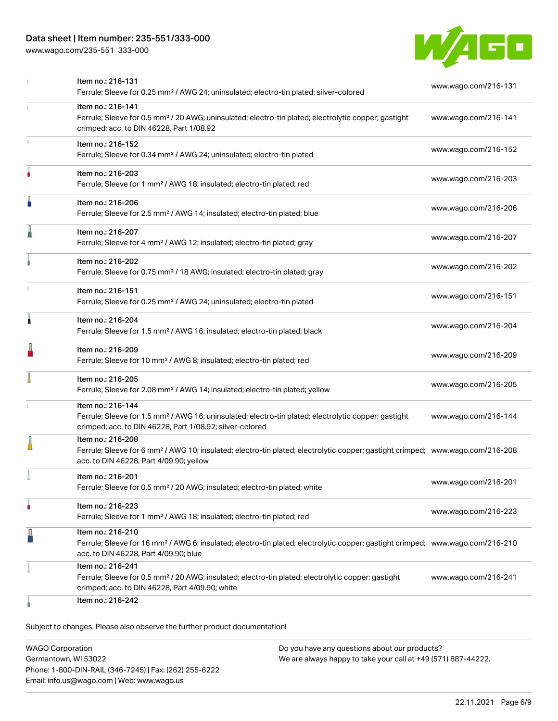# Data sheet | Item number: 235-551/333-000

[www.wago.com/235-551\\_333-000](http://www.wago.com/235-551_333-000)



|    | Item no.: 216-131<br>Ferrule; Sleeve for 0.25 mm <sup>2</sup> / AWG 24; uninsulated; electro-tin plated; silver-colored                                                                                    | www.wago.com/216-131 |
|----|------------------------------------------------------------------------------------------------------------------------------------------------------------------------------------------------------------|----------------------|
| 1. | Item no.: 216-141<br>Ferrule; Sleeve for 0.5 mm <sup>2</sup> / 20 AWG; uninsulated; electro-tin plated; electrolytic copper; gastight<br>crimped; acc. to DIN 46228, Part 1/08.92                          | www.wago.com/216-141 |
| s. | Item no.: 216-152<br>Ferrule; Sleeve for 0.34 mm <sup>2</sup> / AWG 24; uninsulated; electro-tin plated                                                                                                    | www.wago.com/216-152 |
| ۸  | Item no.: 216-203<br>Ferrule; Sleeve for 1 mm <sup>2</sup> / AWG 18; insulated; electro-tin plated; red                                                                                                    | www.wago.com/216-203 |
| Ä  | Item no.: 216-206<br>Ferrule; Sleeve for 2.5 mm <sup>2</sup> / AWG 14; insulated; electro-tin plated; blue                                                                                                 | www.wago.com/216-206 |
|    | Item no.: 216-207<br>Ferrule; Sleeve for 4 mm <sup>2</sup> / AWG 12; insulated; electro-tin plated; gray                                                                                                   | www.wago.com/216-207 |
|    | Item no.: 216-202<br>Ferrule; Sleeve for 0.75 mm <sup>2</sup> / 18 AWG; insulated; electro-tin plated; gray                                                                                                | www.wago.com/216-202 |
|    | Item no.: 216-151<br>Ferrule; Sleeve for 0.25 mm <sup>2</sup> / AWG 24; uninsulated; electro-tin plated                                                                                                    | www.wago.com/216-151 |
| Ă  | Item no.: 216-204<br>Ferrule; Sleeve for 1.5 mm <sup>2</sup> / AWG 16; insulated; electro-tin plated; black                                                                                                | www.wago.com/216-204 |
| I  | Item no.: 216-209<br>Ferrule; Sleeve for 10 mm <sup>2</sup> / AWG 8; insulated; electro-tin plated; red                                                                                                    | www.wago.com/216-209 |
|    | Item no.: 216-205<br>Ferrule; Sleeve for 2.08 mm <sup>2</sup> / AWG 14; insulated; electro-tin plated; yellow                                                                                              | www.wago.com/216-205 |
|    | Item no.: 216-144<br>Ferrule; Sleeve for 1.5 mm <sup>2</sup> / AWG 16; uninsulated; electro-tin plated; electrolytic copper; gastight<br>crimped; acc. to DIN 46228, Part 1/08.92; silver-colored          | www.wago.com/216-144 |
|    | Item no.: 216-208<br>Ferrule; Sleeve for 6 mm <sup>2</sup> / AWG 10; insulated; electro-tin plated; electrolytic copper; gastight crimped; www.wago.com/216-208<br>acc. to DIN 46228, Part 4/09.90; yellow |                      |
|    | ltem no.: 216-201<br>Ferrule; Sleeve for 0.5 mm <sup>2</sup> / 20 AWG; insulated; electro-tin plated; white                                                                                                | www.wago.com/216-201 |
| ٠  | Item no.: 216-223<br>Ferrule; Sleeve for 1 mm <sup>2</sup> / AWG 18; insulated; electro-tin plated; red                                                                                                    | www.wago.com/216-223 |
| ł  | Item no.: 216-210<br>Ferrule; Sleeve for 16 mm <sup>2</sup> / AWG 6; insulated; electro-tin plated; electrolytic copper; gastight crimped; www.wago.com/216-210<br>acc. to DIN 46228, Part 4/09.90; blue   |                      |
|    | Item no.: 216-241<br>Ferrule; Sleeve for 0.5 mm <sup>2</sup> / 20 AWG; insulated; electro-tin plated; electrolytic copper; gastight<br>crimped; acc. to DIN 46228, Part 4/09.90; white                     | www.wago.com/216-241 |
|    | Item no.: 216-242                                                                                                                                                                                          |                      |

Subject to changes. Please also observe the further product documentation!

| <b>WAGO Corporation</b>                                | Do you have any questions about our products?                 |
|--------------------------------------------------------|---------------------------------------------------------------|
| Germantown, WI 53022                                   | We are always happy to take your call at +49 (571) 887-44222. |
| Phone: 1-800-DIN-RAIL (346-7245)   Fax: (262) 255-6222 |                                                               |
| Email: info.us@wago.com   Web: www.wago.us             |                                                               |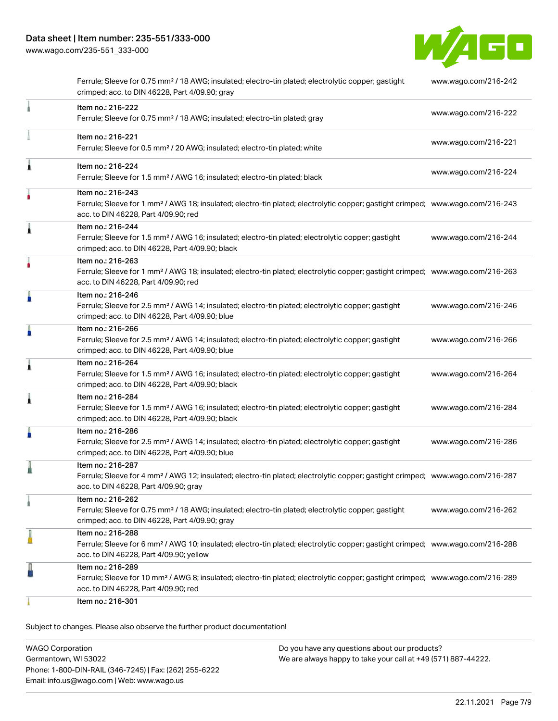[www.wago.com/235-551\\_333-000](http://www.wago.com/235-551_333-000)



|   | Ferrule; Sleeve for 0.75 mm <sup>2</sup> / 18 AWG; insulated; electro-tin plated; electrolytic copper; gastight<br>crimped; acc. to DIN 46228, Part 4/09.90; gray                                          | www.wago.com/216-242 |
|---|------------------------------------------------------------------------------------------------------------------------------------------------------------------------------------------------------------|----------------------|
|   | Item no.: 216-222<br>Ferrule; Sleeve for 0.75 mm <sup>2</sup> / 18 AWG; insulated; electro-tin plated; gray                                                                                                | www.wago.com/216-222 |
|   | Item no.: 216-221<br>Ferrule; Sleeve for 0.5 mm <sup>2</sup> / 20 AWG; insulated; electro-tin plated; white                                                                                                | www.wago.com/216-221 |
|   | Item no.: 216-224<br>Ferrule; Sleeve for 1.5 mm <sup>2</sup> / AWG 16; insulated; electro-tin plated; black                                                                                                | www.wago.com/216-224 |
| ۸ | Item no.: 216-243<br>Ferrule; Sleeve for 1 mm <sup>2</sup> / AWG 18; insulated; electro-tin plated; electrolytic copper; gastight crimped; www.wago.com/216-243<br>acc. to DIN 46228, Part 4/09.90; red    |                      |
| Â | Item no.: 216-244<br>Ferrule; Sleeve for 1.5 mm <sup>2</sup> / AWG 16; insulated; electro-tin plated; electrolytic copper; gastight<br>crimped; acc. to DIN 46228, Part 4/09.90; black                     | www.wago.com/216-244 |
|   | Item no.: 216-263<br>Ferrule; Sleeve for 1 mm <sup>2</sup> / AWG 18; insulated; electro-tin plated; electrolytic copper; gastight crimped; www.wago.com/216-263<br>acc. to DIN 46228, Part 4/09.90; red    |                      |
| ñ | Item no.: 216-246<br>Ferrule; Sleeve for 2.5 mm <sup>2</sup> / AWG 14; insulated; electro-tin plated; electrolytic copper; gastight<br>crimped; acc. to DIN 46228, Part 4/09.90; blue                      | www.wago.com/216-246 |
| п | Item no.: 216-266<br>Ferrule; Sleeve for 2.5 mm <sup>2</sup> / AWG 14; insulated; electro-tin plated; electrolytic copper; gastight<br>crimped; acc. to DIN 46228, Part 4/09.90; blue                      | www.wago.com/216-266 |
| 1 | Item no.: 216-264<br>Ferrule; Sleeve for 1.5 mm <sup>2</sup> / AWG 16; insulated; electro-tin plated; electrolytic copper; gastight<br>crimped; acc. to DIN 46228, Part 4/09.90; black                     | www.wago.com/216-264 |
| Ă | Item no.: 216-284<br>Ferrule; Sleeve for 1.5 mm <sup>2</sup> / AWG 16; insulated; electro-tin plated; electrolytic copper; gastight<br>crimped; acc. to DIN 46228, Part 4/09.90; black                     | www.wago.com/216-284 |
|   | Item no.: 216-286<br>Ferrule; Sleeve for 2.5 mm <sup>2</sup> / AWG 14; insulated; electro-tin plated; electrolytic copper; gastight<br>crimped; acc. to DIN 46228, Part 4/09.90; blue                      | www.wago.com/216-286 |
|   | Item no.: 216-287<br>Ferrule; Sleeve for 4 mm <sup>2</sup> / AWG 12; insulated; electro-tin plated; electrolytic copper; gastight crimped; www.wago.com/216-287<br>acc. to DIN 46228, Part 4/09.90; gray   |                      |
|   | Item no.: 216-262<br>Ferrule; Sleeve for 0.75 mm <sup>2</sup> / 18 AWG; insulated; electro-tin plated; electrolytic copper; gastight<br>crimped; acc. to DIN 46228, Part 4/09.90; gray                     | www.wago.com/216-262 |
| l | Item no.: 216-288<br>Ferrule; Sleeve for 6 mm <sup>2</sup> / AWG 10; insulated; electro-tin plated; electrolytic copper; gastight crimped; www.wago.com/216-288<br>acc. to DIN 46228, Part 4/09.90; yellow |                      |
| l | Item no.: 216-289<br>Ferrule; Sleeve for 10 mm <sup>2</sup> / AWG 8; insulated; electro-tin plated; electrolytic copper; gastight crimped; www.wago.com/216-289<br>acc. to DIN 46228, Part 4/09.90; red    |                      |
|   | Item no.: 216-301                                                                                                                                                                                          |                      |

Subject to changes. Please also observe the further product documentation!

| <b>WAGO Corporation</b>                                | Do you have any questions about our products?                 |
|--------------------------------------------------------|---------------------------------------------------------------|
| Germantown, WI 53022                                   | We are always happy to take your call at +49 (571) 887-44222. |
| Phone: 1-800-DIN-RAIL (346-7245)   Fax: (262) 255-6222 |                                                               |
| Email: info.us@wago.com   Web: www.wago.us             |                                                               |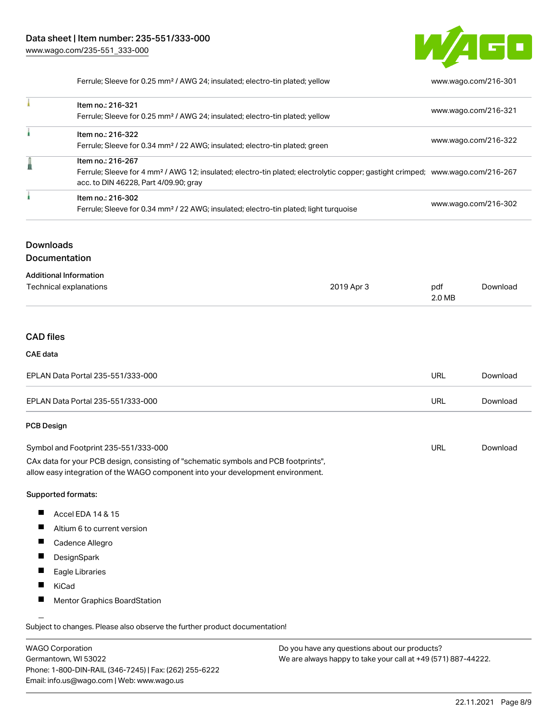

Ferrule; Sleeve for 0.25 mm² / AWG 24; insulated; electro-tin plated; yellow [www.wago.com/216-301](http://www.wago.com/216-301)

| Item no.: 216-321<br>Ferrule; Sleeve for 0.25 mm <sup>2</sup> / AWG 24; insulated; electro-tin plated; yellow                                                                                            | www.wago.com/216-321 |
|----------------------------------------------------------------------------------------------------------------------------------------------------------------------------------------------------------|----------------------|
| Item no.: 216-322<br>Ferrule; Sleeve for 0.34 mm <sup>2</sup> / 22 AWG; insulated; electro-tin plated; green                                                                                             | www.wago.com/216-322 |
| Item no.: 216-267<br>Ferrule; Sleeve for 4 mm <sup>2</sup> / AWG 12; insulated; electro-tin plated; electrolytic copper; gastight crimped; www.wago.com/216-267<br>acc. to DIN 46228, Part 4/09.90; gray |                      |
| Item no.: 216-302<br>Ferrule; Sleeve for 0.34 mm <sup>2</sup> / 22 AWG; insulated; electro-tin plated; light turquoise                                                                                   | www.wago.com/216-302 |

# **Downloads**

Documentation

| <b>Additional Information</b> |            |        |          |
|-------------------------------|------------|--------|----------|
| Technical explanations        | 2019 Apr 3 | pdf    | Download |
|                               |            | 2.0 MB |          |

# CAD files

#### CAE data

| EPLAN Data Portal 235-551/333-000 | URL | Download |
|-----------------------------------|-----|----------|
| EPLAN Data Portal 235-551/333-000 | URL | Download |

#### PCB Design

| Symbol and Footprint 235-551/333-000                                                | URL | Download |
|-------------------------------------------------------------------------------------|-----|----------|
| CAx data for your PCB design, consisting of "schematic symbols and PCB footprints", |     |          |
| allow easy integration of the WAGO component into your development environment.     |     |          |

#### Supported formats:

- $\blacksquare$ Accel EDA 14 & 15
- $\blacksquare$ Altium 6 to current version
- $\blacksquare$ Cadence Allegro
- П DesignSpark
- $\blacksquare$ Eagle Libraries
- $\blacksquare$ KiCad
- $\blacksquare$ Mentor Graphics BoardStation

Subject to changes. Please also observe the further product documentation!

WAGO Corporation Germantown, WI 53022 Phone: 1-800-DIN-RAIL (346-7245) | Fax: (262) 255-6222 Email: info.us@wago.com | Web: www.wago.us